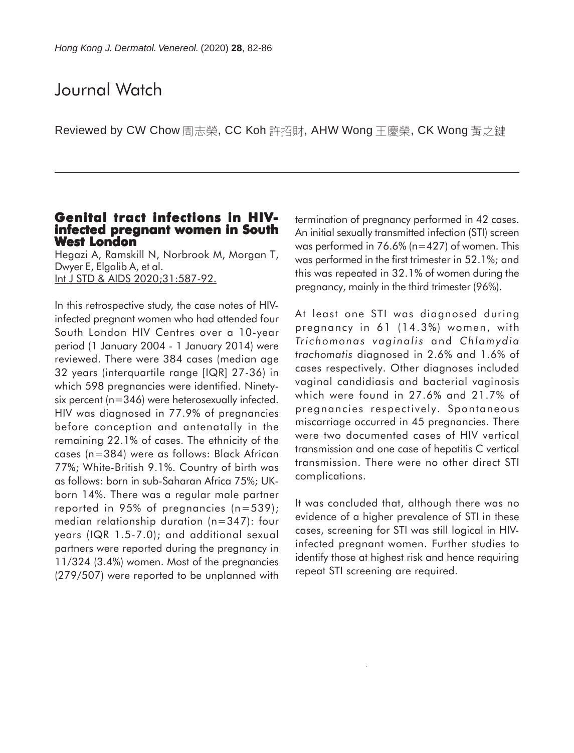## Journal Watch

Reviewed by CW Chow 周志榮, CC Koh 許招財, AHW Wong 王慶榮, CK Wong 黃之鍵

# **Genital tract infections in HIV- infected pregnant women in South West London**

Hegazi A, Ramskill N, Norbrook M, Morgan T, Dwyer E, Elgalib A, et al. Int J STD & AIDS 2020;31:587-92.

In this retrospective study, the case notes of HIVinfected pregnant women who had attended four South London HIV Centres over a 10-year period (1 January 2004 - 1 January 2014) were reviewed. There were 384 cases (median age 32 years (interquartile range [IQR] 27-36) in which 598 pregnancies were identified. Ninetysix percent (n=346) were heterosexually infected. HIV was diagnosed in 77.9% of pregnancies before conception and antenatally in the remaining 22.1% of cases. The ethnicity of the cases (n=384) were as follows: Black African 77%; White-British 9.1%. Country of birth was as follows: born in sub-Saharan Africa 75%; UKborn 14%. There was a regular male partner reported in 95% of pregnancies (n=539); median relationship duration (n=347): four years (IQR 1.5-7.0); and additional sexual partners were reported during the pregnancy in 11/324 (3.4%) women. Most of the pregnancies (279/507) were reported to be unplanned with

termination of pregnancy performed in 42 cases. An initial sexually transmitted infection (STI) screen was performed in 76.6% (n=427) of women. This was performed in the first trimester in 52.1%; and this was repeated in 32.1% of women during the pregnancy, mainly in the third trimester (96%).

At least one STI was diagnosed during pregnancy in 61 (14.3%) women, with *Trichomonas vaginalis* and *Chlamydia trachomatis* diagnosed in 2.6% and 1.6% of cases respectively. Other diagnoses included vaginal candidiasis and bacterial vaginosis which were found in 27.6% and 21.7% of pregnancies respectively. Spontaneous miscarriage occurred in 45 pregnancies. There were two documented cases of HIV vertical transmission and one case of hepatitis C vertical transmission. There were no other direct STI complications.

It was concluded that, although there was no evidence of a higher prevalence of STI in these cases, screening for STI was still logical in HIVinfected pregnant women. Further studies to identify those at highest risk and hence requiring repeat STI screening are required.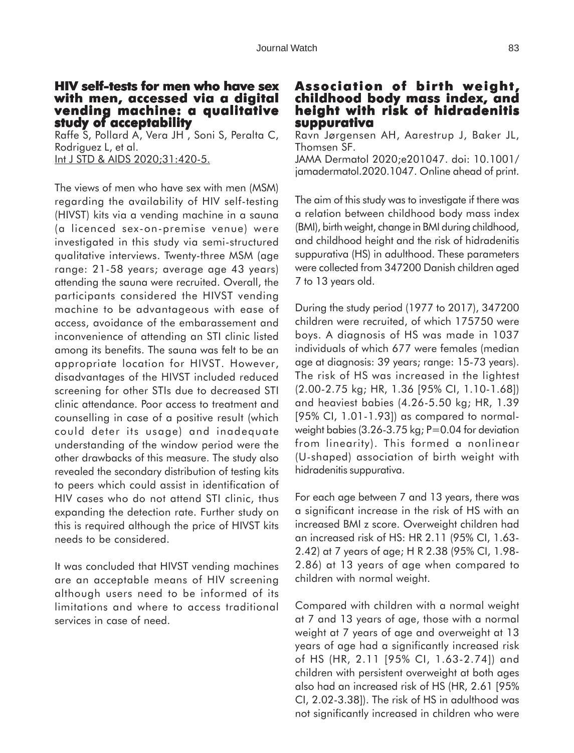#### **HIV self-tests for men who have sex with men, accessed via a digital with men, accessed a vending machine: a qualitative study of acceptability**

Raffe S, Pollard A, Vera JH , Soni S, Peralta C, Rodriguez L, et al. Int J STD & AIDS 2020;31:420-5.

The views of men who have sex with men (MSM) regarding the availability of HIV self-testing (HIVST) kits via a vending machine in a sauna (a licenced sex-on-premise venue) were investigated in this study via semi-structured qualitative interviews. Twenty-three MSM (age range: 21-58 years; average age 43 years) attending the sauna were recruited. Overall, the participants considered the HIVST vending machine to be advantageous with ease of access, avoidance of the embarassement and inconvenience of attending an STI clinic listed among its benefits. The sauna was felt to be an appropriate location for HIVST. However, disadvantages of the HIVST included reduced screening for other STIs due to decreased STI clinic attendance. Poor access to treatment and counselling in case of a positive result (which could deter its usage) and inadequate understanding of the window period were the other drawbacks of this measure. The study also revealed the secondary distribution of testing kits to peers which could assist in identification of HIV cases who do not attend STI clinic, thus expanding the detection rate. Further study on this is required although the price of HIVST kits needs to be considered.

It was concluded that HIVST vending machines are an acceptable means of HIV screening although users need to be informed of its limitations and where to access traditional services in case of need.

## **Association of birth weight, Association weight, childhood body mass index, and height with risk of hidradenitis suppurativa**

Ravn Jørgensen AH, Aarestrup J, Baker JL, Thomsen SF.

JAMA Dermatol 2020;e201047. doi: 10.1001/ jamadermatol.2020.1047. Online ahead of print.

The aim of this study was to investigate if there was a relation between childhood body mass index (BMI), birth weight, change in BMI during childhood, and childhood height and the risk of hidradenitis suppurativa (HS) in adulthood. These parameters were collected from 347200 Danish children aged 7 to 13 years old.

During the study period (1977 to 2017), 347200 children were recruited, of which 175750 were boys. A diagnosis of HS was made in 1037 individuals of which 677 were females (median age at diagnosis: 39 years; range: 15-73 years). The risk of HS was increased in the lightest (2.00-2.75 kg; HR, 1.36 [95% CI, 1.10-1.68]) and heaviest babies (4.26-5.50 kg; HR, 1.39 [95% CI, 1.01-1.93]) as compared to normalweight babies (3.26-3.75 kg; P=0.04 for deviation from linearity). This formed a nonlinear (U-shaped) association of birth weight with hidradenitis suppurativa.

For each age between 7 and 13 years, there was a significant increase in the risk of HS with an increased BMI z score. Overweight children had an increased risk of HS: HR 2.11 (95% CI, 1.63- 2.42) at 7 years of age; H R 2.38 (95% CI, 1.98- 2.86) at 13 years of age when compared to children with normal weight.

Compared with children with a normal weight at 7 and 13 years of age, those with a normal weight at 7 years of age and overweight at 13 years of age had a significantly increased risk of HS (HR, 2.11 [95% CI, 1.63-2.74]) and children with persistent overweight at both ages also had an increased risk of HS (HR, 2.61 [95% CI, 2.02-3.38]). The risk of HS in adulthood was not significantly increased in children who were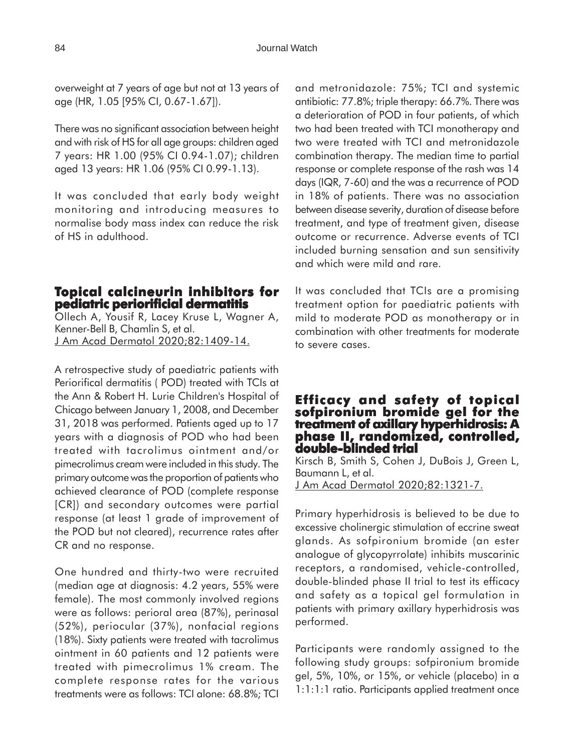overweight at 7 years of age but not at 13 years of age (HR, 1.05 [95% CI, 0.67-1.67]).

There was no significant association between height and with risk of HS for all age groups: children aged 7 years: HR 1.00 (95% CI 0.94-1.07); children aged 13 years: HR 1.06 (95% CI 0.99-1.13).

It was concluded that early body weight monitoring and introducing measures to normalise body mass index can reduce the risk of HS in adulthood.

## **Topical calcineurin inhibitors for pediatric periorificial dermatitis**

Ollech A, Yousif R, Lacey Kruse L, Wagner A, Kenner-Bell B, Chamlin S, et al. J Am Acad Dermatol 2020;82:1409-14.

A retrospective study of paediatric patients with Periorifical dermatitis ( POD) treated with TCIs at the Ann & Robert H. Lurie Children's Hospital of Chicago between January 1, 2008, and December 31, 2018 was performed. Patients aged up to 17 years with a diagnosis of POD who had been treated with tacrolimus ointment and/or pimecrolimus cream were included in this study. The primary outcome was the proportion of patients who achieved clearance of POD (complete response [CR]) and secondary outcomes were partial response (at least 1 grade of improvement of the POD but not cleared), recurrence rates after CR and no response.

One hundred and thirty-two were recruited (median age at diagnosis: 4.2 years, 55% were female). The most commonly involved regions were as follows: perioral area (87%), perinasal (52%), periocular (37%), nonfacial regions (18%). Sixty patients were treated with tacrolimus ointment in 60 patients and 12 patients were treated with pimecrolimus 1% cream. The complete response rates for the various treatments were as follows: TCI alone: 68.8%; TCI

and metronidazole: 75%; TCI and systemic antibiotic: 77.8%; triple therapy: 66.7%. There was a deterioration of POD in four patients, of which two had been treated with TCI monotherapy and two were treated with TCI and metronidazole combination therapy. The median time to partial response or complete response of the rash was 14 days (IQR, 7-60) and the was a recurrence of POD in 18% of patients. There was no association between disease severity, duration of disease before treatment, and type of treatment given, disease outcome or recurrence. Adverse events of TCI included burning sensation and sun sensitivity and which were mild and rare.

It was concluded that TCIs are a promising treatment option for paediatric patients with mild to moderate POD as monotherapy or in combination with other treatments for moderate to severe cases.

## **Efficacy and safety of topical Efficacy safety topical sofpironium bromide gel for the treatment of axillary hyperhidrosis: A phase II, randomized, controlled, II, randomized, controlled, double-blinded trial double-blinded trial**

Kirsch B, Smith S, Cohen J, DuBois J, Green L, Baumann L, et al. J Am Acad Dermatol 2020;82:1321-7.

Primary hyperhidrosis is believed to be due to excessive cholinergic stimulation of eccrine sweat glands. As sofpironium bromide (an ester analogue of glycopyrrolate) inhibits muscarinic receptors, a randomised, vehicle-controlled, double-blinded phase II trial to test its efficacy and safety as a topical gel formulation in patients with primary axillary hyperhidrosis was performed.

Participants were randomly assigned to the following study groups: sofpironium bromide gel, 5%, 10%, or 15%, or vehicle (placebo) in a 1:1:1:1 ratio. Participants applied treatment once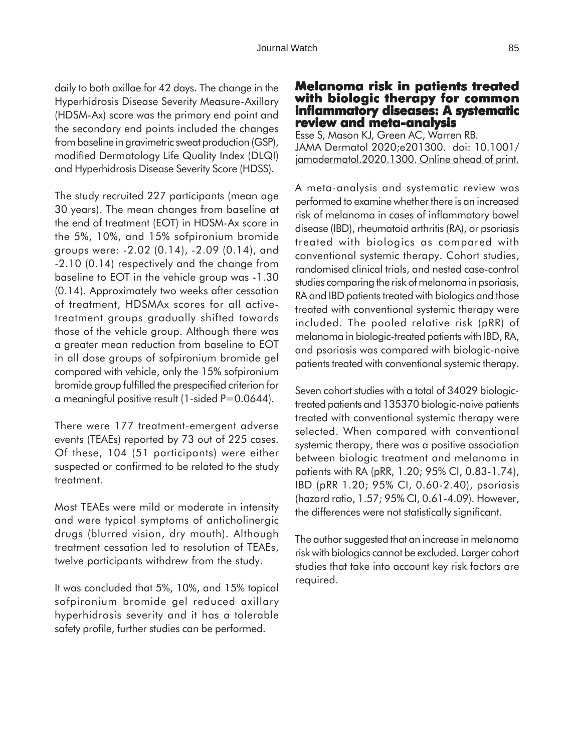daily to both axillae for 42 days. The change in the Hyperhidrosis Disease Severity Measure-Axillary (HDSM-Ax) score was the primary end point and the secondary end points included the changes from baseline in gravimetric sweat production (GSP), modified Dermatology Life Quality Index (DLQI) and Hyperhidrosis Disease Severity Score (HDSS).

The study recruited 227 participants (mean age 30 years). The mean changes from baseline at the end of treatment (EOT) in HDSM-Ax score in the 5%, 10%, and 15% sofpironium bromide groups were: -2.02 (0.14), -2.09 (0.14), and -2.10 (0.14) respectively and the change from baseline to EOT in the vehicle group was -1.30 (0.14). Approximately two weeks after cessation of treatment, HDSMAx scores for all activetreatment groups gradually shifted towards those of the vehicle group. Although there was a greater mean reduction from baseline to EOT in all dose groups of sofpironium bromide gel compared with vehicle, only the 15% sofpironium bromide group fulfilled the prespecified criterion for a meaningful positive result (1-sided  $P=0.0644$ ).

There were 177 treatment-emergent adverse events (TEAEs) reported by 73 out of 225 cases. Of these, 104 (51 participants) were either suspected or confirmed to be related to the study treatment.

Most TEAEs were mild or moderate in intensity and were typical symptoms of anticholinergic drugs (blurred vision, dry mouth). Although treatment cessation led to resolution of TEAEs, twelve participants withdrew from the study.

It was concluded that 5%, 10%, and 15% topical sofpironium bromide gel reduced axillary hyperhidrosis severity and it has a tolerable safety profile, further studies can be performed.

## **Melanoma risk in patients treated with biologic therapy for common inflammatory diseases: A systematic review and meta-analysis**

Esse S, Mason KJ, Green AC, Warren RB. JAMA Dermatol 2020;e201300. doi: 10.1001/ jamadermatol.2020.1300. Online ahead of print.

A meta-analysis and systematic review was performed to examine whether there is an increased risk of melanoma in cases of inflammatory bowel disease (IBD), rheumatoid arthritis (RA), or psoriasis treated with biologics as compared with conventional systemic therapy. Cohort studies, randomised clinical trials, and nested case-control studies comparing the risk of melanoma in psoriasis, RA and IBD patients treated with biologics and those treated with conventional systemic therapy were included. The pooled relative risk (pRR) of melanoma in biologic-treated patients with IBD, RA, and psoriasis was compared with biologic-naive patients treated with conventional systemic therapy.

Seven cohort studies with a total of 34029 biologictreated patients and 135370 biologic-naive patients treated with conventional systemic therapy were selected. When compared with conventional systemic therapy, there was a positive association between biologic treatment and melanoma in patients with RA (pRR, 1.20; 95% CI, 0.83-1.74), IBD (pRR 1.20; 95% CI, 0.60-2.40), psoriasis (hazard ratio, 1.57; 95% CI, 0.61-4.09). However, the differences were not statistically significant.

The author suggested that an increase in melanoma risk with biologics cannot be excluded. Larger cohort studies that take into account key risk factors are required.